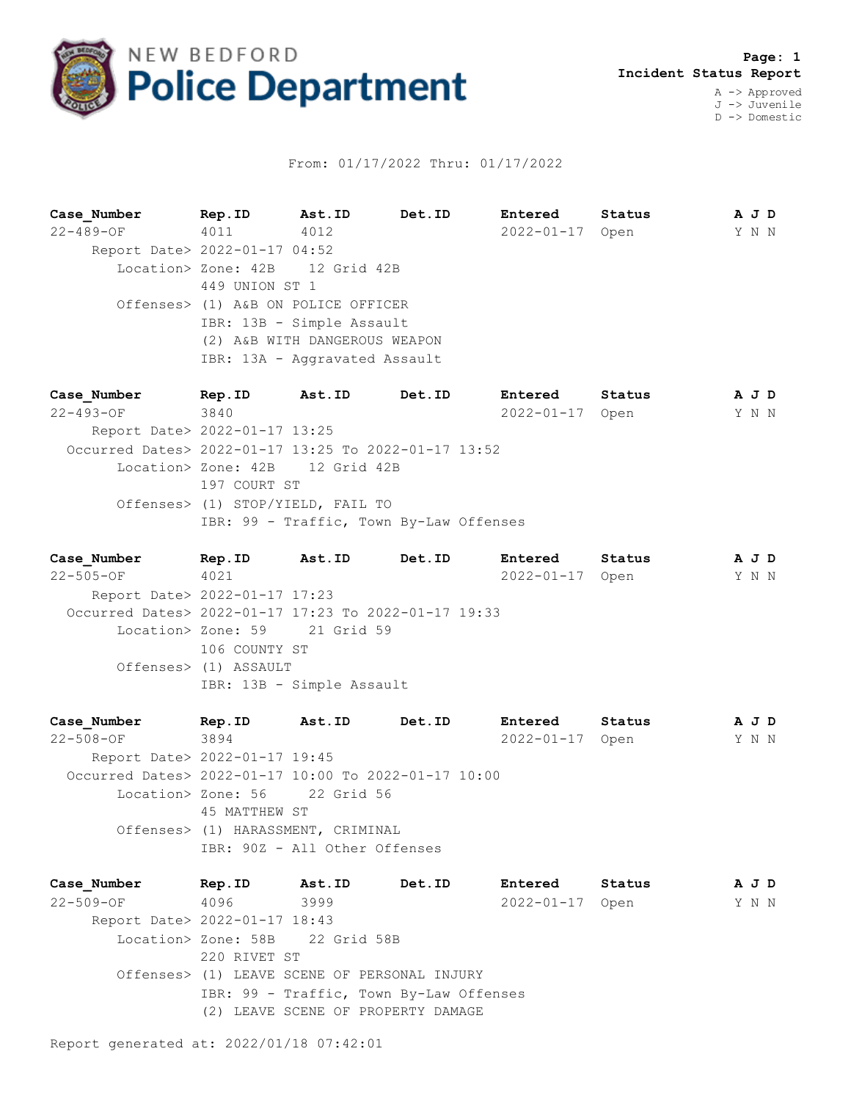

## From: 01/17/2022 Thru: 01/17/2022

**Case\_Number Rep.ID Ast.ID Det.ID Entered Status A J D** 22-489-OF 4011 4012 2022-01-17 Open Y N N Report Date> 2022-01-17 04:52 Location> Zone: 42B 12 Grid 42B 449 UNION ST 1 Offenses> (1) A&B ON POLICE OFFICER IBR: 13B - Simple Assault (2) A&B WITH DANGEROUS WEAPON IBR: 13A - Aggravated Assault

**Case\_Number Rep.ID Ast.ID Det.ID Entered Status A J D** 22-493-OF 3840 2022-01-17 Open Y N N Report Date> 2022-01-17 13:25 Occurred Dates> 2022-01-17 13:25 To 2022-01-17 13:52 Location> Zone: 42B 12 Grid 42B 197 COURT ST Offenses> (1) STOP/YIELD, FAIL TO IBR: 99 - Traffic, Town By-Law Offenses

**Case\_Number Rep.ID Ast.ID Det.ID Entered Status A J D** 22-505-OF 4021 2022-01-17 Open Y N N Report Date> 2022-01-17 17:23 Occurred Dates> 2022-01-17 17:23 To 2022-01-17 19:33 Location> Zone: 59 21 Grid 59 106 COUNTY ST Offenses> (1) ASSAULT IBR: 13B - Simple Assault

**Case\_Number Rep.ID Ast.ID Det.ID Entered Status A J D** 22-508-OF 3894 2022-01-17 Open Y N N Report Date> 2022-01-17 19:45 Occurred Dates> 2022-01-17 10:00 To 2022-01-17 10:00 Location> Zone: 56 22 Grid 56 45 MATTHEW ST Offenses> (1) HARASSMENT, CRIMINAL IBR: 90Z - All Other Offenses

**Case\_Number Rep.ID Ast.ID Det.ID Entered Status A J D** 22-509-OF 4096 3999 2022-01-17 Open Y N N Report Date> 2022-01-17 18:43 Location> Zone: 58B 22 Grid 58B 220 RIVET ST Offenses> (1) LEAVE SCENE OF PERSONAL INJURY IBR: 99 - Traffic, Town By-Law Offenses (2) LEAVE SCENE OF PROPERTY DAMAGE